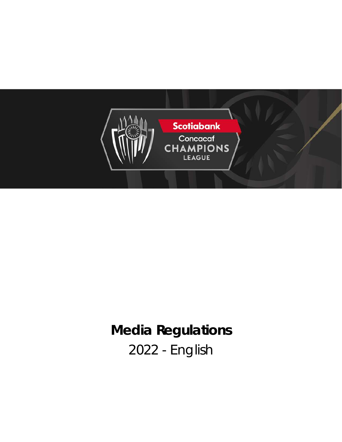

# **Media Regulations**

2022 - English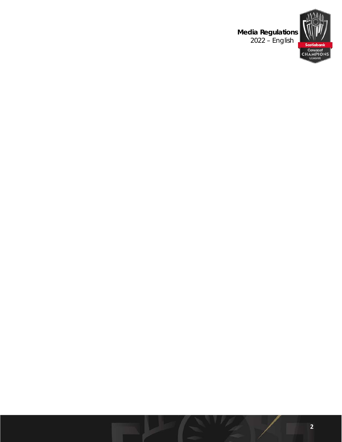Media Regulations<br>2022 - English

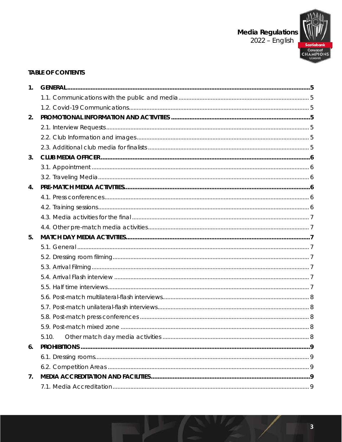**Media Regulations**<br> $2022 - English$ 



# **TABLE OF CONTENTS**

| 1 <sub>1</sub> |       |  |
|----------------|-------|--|
|                |       |  |
|                |       |  |
| 2.             |       |  |
|                |       |  |
|                |       |  |
|                |       |  |
| 3.             |       |  |
|                |       |  |
|                |       |  |
| 4.             |       |  |
|                |       |  |
|                |       |  |
|                |       |  |
|                |       |  |
| 5.             |       |  |
|                |       |  |
|                |       |  |
|                |       |  |
|                |       |  |
|                |       |  |
|                |       |  |
|                |       |  |
|                |       |  |
|                |       |  |
|                | 5.10. |  |
| 6.             |       |  |
|                |       |  |
|                |       |  |
| 7.             |       |  |
|                |       |  |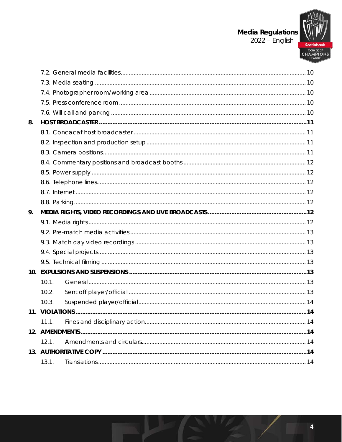# Media Regulations<br>2022 - English



<span id="page-3-0"></span>

| 8. |       |  |
|----|-------|--|
|    |       |  |
|    |       |  |
|    |       |  |
|    |       |  |
|    |       |  |
|    |       |  |
|    |       |  |
|    |       |  |
| 9. |       |  |
|    |       |  |
|    |       |  |
|    |       |  |
|    |       |  |
|    |       |  |
|    |       |  |
|    | 10.1. |  |
|    | 10.2. |  |
|    | 10.3. |  |
|    |       |  |
|    | 11.1. |  |
|    |       |  |
|    | 12.1. |  |
|    |       |  |
|    | 13.1. |  |
|    |       |  |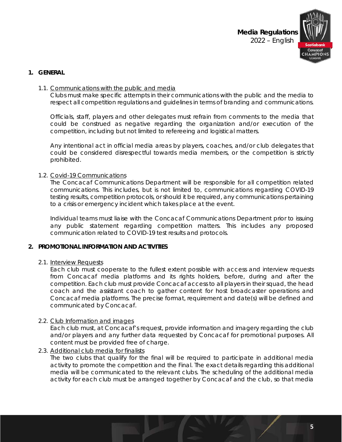

# **1. GENERAL**

#### <span id="page-4-0"></span>1.1. Communications with the public and media

Clubs must make specific attempts in their communications with the public and the media to respect all competition regulations and guidelines in terms of branding and communications.

Officials, staff, players and other delegates must refrain from comments to the media that could be construed as negative regarding the organization and/or execution of the competition, including but not limited to refereeing and logistical matters.

Any intentional act in official media areas by players, coaches, and/or club delegates that could be considered disrespectful towards media members, or the competition is strictly prohibited.

#### <span id="page-4-1"></span>1.2. Covid-19 Communications

The Concacaf Communications Department will be responsible for all competition related communications. This includes, but is not limited to, communications regarding COVID-19 testing results, competition protocols, or should it be required, any communications pertaining to a crisis or emergency incident which takes place at the event.

Individual teams must liaise with the Concacaf Communications Department prior to issuing any public statement regarding competition matters. This includes any proposed communication related to COVID-19 test results and protocols.

# <span id="page-4-2"></span>**2. PROMOTIONAL INFORMATION AND ACTIVITIES**

#### <span id="page-4-3"></span>2.1. Interview Requests

Each club must cooperate to the fullest extent possible with access and interview requests from Concacaf media platforms and its rights holders, before, during and after the competition. Each club must provide Concacaf access to all players in their squad, the head coach and the assistant coach to gather content for host broadcaster operations and Concacaf media platforms. The precise format, requirement and date(s) will be defined and communicated by Concacaf.

#### <span id="page-4-4"></span>2.2. Club Information and images

Each club must, at Concacaf's request, provide information and imagery regarding the club and/or players and any further data requested by Concacaf for promotional purposes. All content must be provided free of charge.

#### <span id="page-4-5"></span>2.3. Additional club media for finalists

The two clubs that qualify for the final will be required to participate in additional media activity to promote the competition and the Final. The exact details regarding this additional media will be communicated to the relevant clubs. The scheduling of the additional media activity for each club must be arranged together by Concacaf and the club, so that media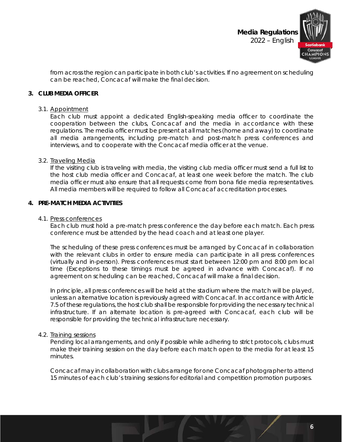

from across the region can participate in both club's activities. If no agreement on scheduling can be reached, Concacaf will make the final decision.

#### <span id="page-5-0"></span>**3. CLUB MEDIA OFFICER**

#### <span id="page-5-1"></span>3.1. Appointment

Each club must appoint a dedicated English-speaking media officer to coordinate the cooperation between the clubs, Concacaf and the media in accordance with these regulations. The media officer must be present at all matches (home and away) to coordinate all media arrangements, including pre-match and post-match press conferences and interviews, and to cooperate with the Concacaf media officer at the venue.

#### <span id="page-5-2"></span>3.2. Traveling Media

If the visiting club is traveling with media, the visiting club media officer must send a full list to the host club media officer and Concacaf, at least one week before the match. The club media officer must also ensure that all requests come from bona fide media representatives. All media members will be required to follow all Concacaf accreditation processes.

#### <span id="page-5-3"></span>**4. PRE-MATCH MEDIA ACTIVITIES**

#### <span id="page-5-4"></span>4.1. Press conferences

Each club must hold a pre-match press conference the day before each match. Each press conference must be attended by the head coach and at least one player.

The scheduling of these press conferences must be arranged by Concacaf in collaboration with the relevant clubs in order to ensure media can participate in all press conferences (virtually and in-person). Press conferences must start between 12:00 pm and 8:00 pm local time (Exceptions to these timings must be agreed in advance with Concacaf). If no agreement on scheduling can be reached, Concacaf will make a final decision.

In principle, all press conferences will be held at the stadium where the match will be played, unless an alternative location is previously agreed with Concacaf. In accordance with Article 7.5 of these regulations, the host club shall be responsible for providing the necessary technical infrastructure. If an alternate location is pre-agreed with Concacaf, each club will be responsible for providing the technical infrastructure necessary.

# <span id="page-5-5"></span>4.2. Training sessions

Pending local arrangements, and only if possible while adhering to strict protocols, clubs must make their training session on the day before each match open to the media for at least 15 minutes.

Concacaf may in collaboration with clubs arrange for one Concacaf photographer to attend 15 minutes of each club's training sessions for editorial and competition promotion purposes.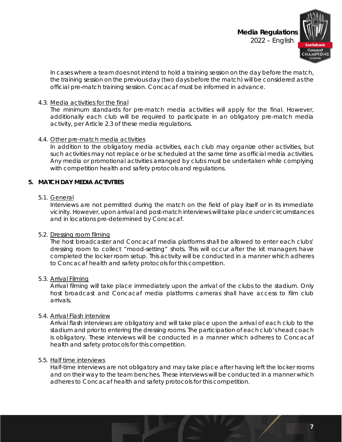

In cases where a team does not intend to hold a training session on the day before the match, the training session on the previous day (two days before the match) will be considered as the official pre-match training session. Concacaf must be informed in advance.

#### <span id="page-6-0"></span>4.3. Media activities for the final

The minimum standards for pre-match media activities will apply for the final. However, additionally each club will be required to participate in an obligatory pre-match media activity, per Article 2.3 of these media regulations.

<span id="page-6-1"></span>4.4. Other pre-match media activities

In addition to the obligatory media activities, each club may organize other activities, but such activities may not replace or be scheduled at the same time as official media activities. Any media or promotional activities arranged by clubs must be undertaken while complying with competition health and safety protocols and regulations.

# <span id="page-6-2"></span>**5. MATCH DAY MEDIA ACTIVITIES**

# <span id="page-6-3"></span>5.1. General

Interviews are not permitted during the match on the field of play itself or in its immediate vicinity. However, upon arrival and post-match interviews will take place under circumstances and in locations pre-determined by Concacaf.

# <span id="page-6-4"></span>5.2. Dressing room filming

The host broadcaster and Concacaf media platforms shall be allowed to enter each clubs' dressing room to collect "mood-setting" shots. This will occur after the kit managers have completed the locker room setup. This activity will be conducted in a manner which adheres to Concacaf health and safety protocols for this competition.

# <span id="page-6-5"></span>5.3. Arrival Filming

Arrival filming will take place immediately upon the arrival of the clubs to the stadium. Only host broadcast and Concacaf media platforms cameras shall have access to film club arrivals.

# <span id="page-6-6"></span>5.4. Arrival Flash interview

Arrival flash interviews are obligatory and will take place upon the arrival of each club to the stadium and prior to entering the dressing rooms. The participation of each club's head coach is obligatory. These interviews will be conducted in a manner which adheres to Concacaf health and safety protocols for this competition.

# <span id="page-6-7"></span>5.5. Half time interviews

Half-time interviews are not obligatory and may take place after having left the locker rooms and on their way to the team benches. These interviews will be conducted in a manner which adheres to Concacaf health and safety protocols for this competition.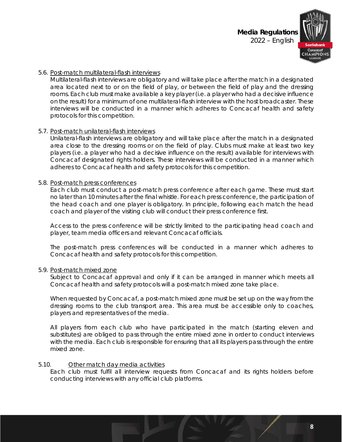**Media Regulations**

2022 – English



#### <span id="page-7-0"></span>5.6. Post-match multilateral-flash interviews

Multilateral-flash interviews are obligatory and will take place after the match in a designated area located next to or on the field of play, or between the field of play and the dressing rooms. Each club must make available a key player (i.e. a player who had a decisive influence on the result) for a minimum of one multilateral-flash interview with the host broadcaster. These interviews will be conducted in a manner which adheres to Concacaf health and safety protocols for this competition.

# <span id="page-7-1"></span>5.7. Post-match unilateral-flash interviews

Unilateral-flash interviews are obligatory and will take place after the match in a designated area close to the dressing rooms or on the field of play. Clubs must make at least two key players (i.e. a player who had a decisive influence on the result) available for interviews with Concacaf designated rights holders. These interviews will be conducted in a manner which adheres to Concacaf health and safety protocols for this competition.

#### <span id="page-7-2"></span>5.8. Post-match press conferences

Each club must conduct a post-match press conference after each game. These must start no later than 10 minutes after the final whistle. For each press conference, the participation of the head coach and one player is obligatory. In principle, following each match the head coach and player of the visiting club will conduct their press conference first.

Access to the press conference will be strictly limited to the participating head coach and player, team media officers and relevant Concacaf officials.

The post-match press conferences will be conducted in a manner which adheres to Concacaf health and safety protocols for this competition.

#### <span id="page-7-3"></span>5.9. Post-match mixed zone

Subject to Concacaf approval and only if it can be arranged in manner which meets all Concacaf health and safety protocols will a post-match mixed zone take place.

When requested by Concacaf, a post-match mixed zone must be set up on the way from the dressing rooms to the club transport area. This area must be accessible only to coaches, players and representatives of the media.

All players from each club who have participated in the match (starting eleven and substitutes) are obliged to pass through the entire mixed zone in order to conduct interviews with the media. Each club is responsible for ensuring that all its players pass through the entire mixed zone.

#### <span id="page-7-4"></span>5.10. Other match day media activities

Each club must fulfil all interview requests from Concacaf and its rights holders before conducting interviews with any official club platforms.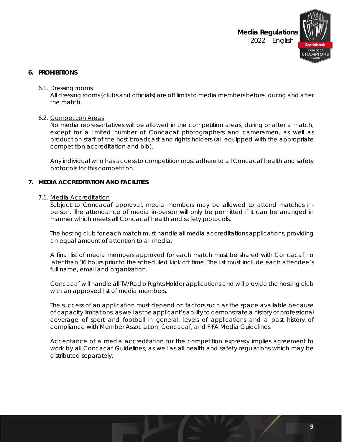**Media Regulations** 2022 – English



# <span id="page-8-0"></span>**6. PROHIBITIONS**

#### <span id="page-8-1"></span>6.1. Dressing rooms

All dressing rooms (clubs and officials) are off limits to media members before, during and after the match.

#### <span id="page-8-2"></span>6.2. Competition Areas

No media representatives will be allowed in the competition areas, during or after a match, except for a limited number of Concacaf photographers and cameramen, as well as production staff of the host broadcast and rights holders (all equipped with the appropriate competition accreditation and bib).

Any individual who has access to competition must adhere to all Concacaf health and safety protocols for this competition.

#### <span id="page-8-3"></span>**7. MEDIA ACCREDITATION AND FACILITIES**

#### <span id="page-8-4"></span>7.1. Media Accreditation

Subject to Concacaf approval, media members may be allowed to attend matches inperson. The attendance of media in-person will only be permitted if it can be arranged in manner which meets all Concacaf health and safety protocols.

The hosting club for each match must handle all media accreditations applications, providing an equal amount of attention to all media.

A final list of media members approved for each match must be shared with Concacaf no later than 36 hours prior to the scheduled kick off time. The list must include each attendee's full name, email and organization.

Concacaf will handle all TV/Radio Rights Holder applications and will provide the hosting club with an approved list of media members.

The success of an application must depend on factors such as the space available because of capacity limitations, as well as the applicant's ability to demonstrate a history of professional coverage of sport and football in general, levels of applications and a past history of compliance with Member Association, Concacaf, and FIFA Media Guidelines.

Acceptance of a media accreditation for the competition expressly implies agreement to work by all Concacaf Guidelines, as well as all health and safety regulations which may be distributed separately.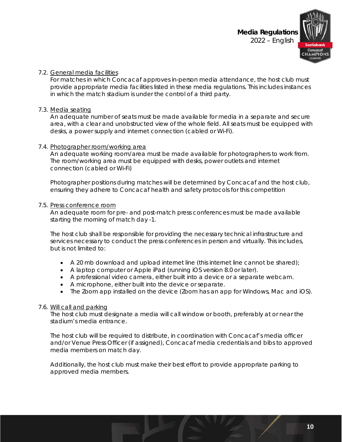

# <span id="page-9-0"></span>7.2. General media facilities

For matches in which Concacaf approves in-person media attendance, the host club must provide appropriate media facilities listed in these media regulations. This includes instances in which the match stadium is under the control of a third party.

# <span id="page-9-1"></span>7.3. Media seating

An adequate number of seats must be made available for media in a separate and secure area, with a clear and unobstructed view of the whole field. All seats must be equipped with desks, a power supply and internet connection (cabled or Wi-Fi).

#### <span id="page-9-2"></span>7.4. Photographer room/working area

An adequate working room/area must be made available for photographers to work from. The room/working area must be equipped with desks, power outlets and internet connection (cabled or Wi-Fi)

Photographer positions during matches will be determined by Concacaf and the host club, ensuring they adhere to Concacaf health and safety protocols for this competition

#### <span id="page-9-3"></span>7.5. Press conference room

An adequate room for pre- and post-match press conferences must be made available starting the morning of match day -1.

The host club shall be responsible for providing the necessary technical infrastructure and services necessary to conduct the press conferences in person and virtually. This includes, but is not limited to:

- A 20 mb download and upload internet line (this internet line cannot be shared);
- A laptop computer or Apple iPad (running iOS version 8.0 or later).
- A professional video camera, either built into a device or a separate webcam.
- A microphone, either built into the device or separate.
- The Zoom app installed on the device (Zoom has an app for Windows, Mac and iOS).

# <span id="page-9-4"></span>7.6. Will call and parking

The host club must designate a media will call window or booth, preferably at or near the stadium's media entrance.

The host club will be required to distribute, in coordination with Concacaf's media officer and/or Venue Press Officer (if assigned), Concacaf media credentials and bibs to approved media members on match day.

Additionally, the host club must make their best effort to provide appropriate parking to approved media members.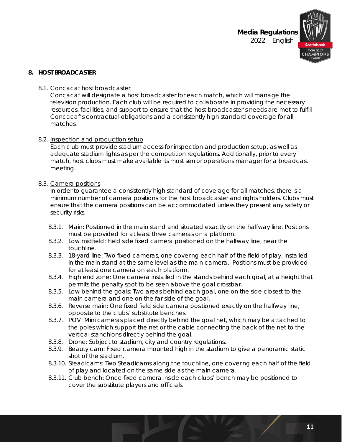**Media Regulations** 2022 – English



# <span id="page-10-0"></span>**8. HOST BROADCASTER**

# <span id="page-10-1"></span>8.1. Concacaf host broadcaster

Concacaf will designate a host broadcaster for each match, which will manage the television production. Each club will be required to collaborate in providing the necessary resources, facilities, and support to ensure that the host broadcaster's needs are met to fulfill Concacaf's contractual obligations and a consistently high standard coverage for all matches.

# <span id="page-10-2"></span>8.2. Inspection and production setup

Each club must provide stadium access for inspection and production setup, as well as adequate stadium lights as per the competition regulations. Additionally, prior to every match, host clubs must make available its most senior operations manager for a broadcast meeting.

# <span id="page-10-3"></span>8.3. Camera positions

In order to guarantee a consistently high standard of coverage for all matches, there is a minimum number of camera positions for the host broadcaster and rights holders. Clubs must ensure that the camera positions can be accommodated unless they present any safety or security risks.

- 8.3.1. Main: Positioned in the main stand and situated exactly on the halfway line. Positions must be provided for at least three cameras on a platform.
- 8.3.2. Low midfield: Field side fixed camera positioned on the halfway line, near the touchline.
- 8.3.3. 18-yard line: Two fixed cameras, one covering each half of the field of play, installed in the main stand at the same level as the main camera. Positions must be provided for at least one camera on each platform.
- 8.3.4. High end zone: One camera installed in the stands behind each goal, at a height that permits the penalty spot to be seen above the goal crossbar.
- 8.3.5. Low behind the goals: Two areas behind each goal, one on the side closest to the main camera and one on the far side of the goal.
- 8.3.6. Reverse main: One fixed field side camera positioned exactly on the halfway line, opposite to the clubs' substitute benches.
- 8.3.7. POV: Mini cameras placed directly behind the goal net, which may be attached to the poles which support the net or the cable connecting the back of the net to the vertical stanchions directly behind the goal.
- 8.3.8. Drone: Subject to stadium, city and country regulations.
- 8.3.9. Beauty cam: Fixed camera mounted high in the stadium to give a panoramic static shot of the stadium.
- 8.3.10. Steadicams: Two Steadicams along the touchline, one covering each half of the field of play and located on the same side as the main camera.
- 8.3.11. Club bench: Once fixed camera inside each clubs' bench may be positioned to cover the substitute players and officials.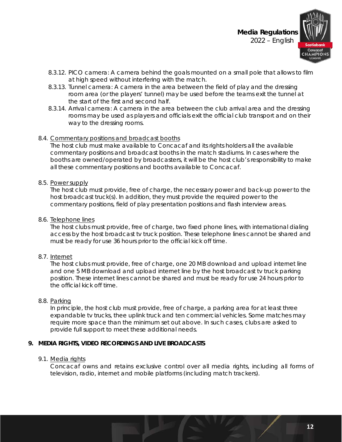

- 8.3.12. PICO camera: A camera behind the goals mounted on a small pole that allows to film at high speed without interfering with the match.
- 8.3.13. Tunnel camera: A camera in the area between the field of play and the dressing room area (or the players' tunnel) may be used before the teams exit the tunnel at the start of the first and second half.
- 8.3.14. Arrival camera: A camera in the area between the club arrival area and the dressing rooms may be used as players and officials exit the official club transport and on their way to the dressing rooms.

#### <span id="page-11-0"></span>8.4. Commentary positions and broadcast booths

The host club must make available to Concacaf and its rights holders all the available commentary positions and broadcast booths in the match stadiums. In cases where the booths are owned/operated by broadcasters, it will be the host club's responsibility to make all these commentary positions and booths available to Concacaf.

# <span id="page-11-1"></span>8.5. Power supply

The host club must provide, free of charge, the necessary power and back-up power to the host broadcast truck(s). In addition, they must provide the required power to the commentary positions, field of play presentation positions and flash interview areas.

#### <span id="page-11-2"></span>8.6. Telephone lines

The host clubs must provide, free of charge, two fixed phone lines, with international dialing access by the host broadcast tv truck position. These telephone lines cannot be shared and must be ready for use 36 hours prior to the official kick off time.

# <span id="page-11-3"></span>8.7. Internet

The host clubs must provide, free of charge, one 20 MB download and upload internet line and one 5 MB download and upload internet line by the host broadcast tv truck parking position. These internet lines cannot be shared and must be ready for use 24 hours prior to the official kick off time.

# <span id="page-11-4"></span>8.8. Parking

In principle, the host club must provide, free of charge, a parking area for at least three expandable tv trucks, thee uplink truck and ten commercial vehicles. Some matches may require more space than the minimum set out above. In such cases, clubs are asked to provide full support to meet these additional needs.

# <span id="page-11-5"></span>**9. MEDIA RIGHTS, VIDEO RECORDINGS AND LIVE BROADCASTS**

# <span id="page-11-6"></span>9.1. Media rights

Concacaf owns and retains exclusive control over all media rights, including all forms of television, radio, internet and mobile platforms (including match trackers).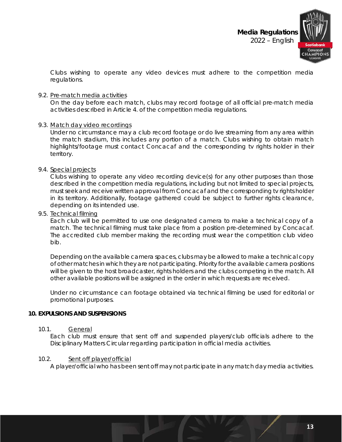

Clubs wishing to operate any video devices must adhere to the competition media regulations.

#### <span id="page-12-0"></span>9.2. Pre-match media activities

On the day before each match, clubs may record footage of all official pre-match media activities described in Article 4. of the competition media regulations.

#### <span id="page-12-1"></span>9.3. Match day video recordings

Under no circumstance may a club record footage or do live streaming from any area within the match stadium, this includes any portion of a match. Clubs wishing to obtain match highlights/footage must contact Concacaf and the corresponding tv rights holder in their territory.

# <span id="page-12-2"></span>9.4. Special projects

Clubs wishing to operate any video recording device(s) for any other purposes than those described in the competition media regulations, including but not limited to special projects, must seek and receive written approval from Concacaf and the corresponding tv rights holder in its territory. Additionally, footage gathered could be subject to further rights clearance, depending on its intended use.

#### <span id="page-12-3"></span>9.5. Technical filming

Each club will be permitted to use one designated camera to make a technical copy of a match. The technical filming must take place from a position pre-determined by Concacaf. The accredited club member making the recording must wear the competition club video bib.

Depending on the available camera spaces, clubs may be allowed to make a technical copy of other matches in which they are not participating. Priority for the available camera positions will be given to the host broadcaster, rights holders and the clubs competing in the match. All other available positions will be assigned in the order in which requests are received.

Under no circumstance can footage obtained via technical filming be used for editorial or promotional purposes.

# <span id="page-12-4"></span>**10. EXPULSIONS AND SUSPENSIONS**

#### <span id="page-12-5"></span>10.1. General

Each club must ensure that sent off and suspended players/club officials adhere to the Disciplinary Matters Circular regarding participation in official media activities.

# <span id="page-12-6"></span>10.2. Sent off player/official

A player/official who has been sent off may not participate in any match day media activities.